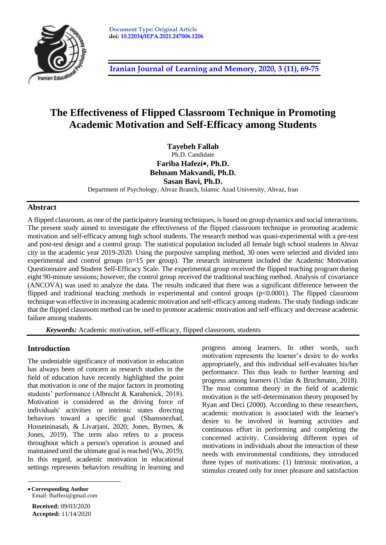

**[Iranian Journal of Learning and Memory, 2020, 3](http://journal.iepa.ir/article_91052.html) (11), 69-75**

# **The Effectiveness of Flipped Classroom Technique in Promoting Academic Motivation and Self-Efficacy among Students**

**Tayebeh Fallah** Ph.D. Candidate **Fariba Hafezi, Ph.D. Behnam Makvandi, Ph.D. Sasan Bavi, Ph.D.**

Department of Psychology, Ahvaz Branch, Islamic Azad University, Ahvaz, Iran

## **Abstract**

A flipped classroom, as one of the participatory learning techniques, is based on group dynamics and social interactions. The present study aimed to investigate the effectiveness of the flipped classroom technique in promoting academic motivation and self-efficacy among high school students. The research method was quasi-experimental with a pre-test and post-test design and a control group. The statistical population included all female high school students in Ahvaz city in the academic year 2019-2020. Using the purposive sampling method, 30 ones were selected and divided into experimental and control groups (n=15 per group). The research instrument included the Academic Motivation Questionnaire and Student Self-Efficacy Scale. The experimental group received the flipped teaching program during eight 90-minute sessions; however, the control group received the traditional teaching method. Analysis of covariance (ANCOVA) was used to analyze the data. The results indicated that there was a significant difference between the flipped and traditional teaching methods in experimental and control groups (p<0.0001). The flipped classroom technique was effective in increasing academic motivation and self-efficacy among students. The study findings indicate that the flipped classroom method can be used to promote academic motivation and self-efficacy and decrease academic failure among students.

*Keywords:* Academic motivation, self-efficacy, flipped classroom, students

## **Introduction**

The undeniable significance of motivation in education has always been of concern as research studies in the field of education have recently highlighted the point that motivation is one of the major factors in promoting students' performance (Albrecht & Karabenick, 2018). Motivation is considered as the driving force of individuals' activities or intrinsic states directing behaviors toward a specific goal (Shamsnezhad, Hosseininasab, & Livarjani, 2020; Jones, Byrnes, & Jones, 2019). The term also refers to a process throughout which a person's operation is aroused and maintained until the ultimate goal is reached (Wu, 2019). In this regard, academic motivation in educational settings represents behaviors resulting in learning and progress among learners. In other words, such motivation represents the learner's desire to do works appropriately, and this individual self-evaluates his/her performance. This thus leads to further learning and progress among learners (Urdan & Bruchmann, 2018). The most common theory in the field of academic motivation is the self-determination theory proposed by Ryan and Deci (2000). According to these researchers, academic motivation is associated with the learner's desire to be involved in learning activities and continuous effort in performing and completing the concerned activity. Considering different types of motivations in individuals about the interaction of these needs with environmental conditions, they introduced three types of motivations: (1) Intrinsic motivation, a stimulus created only for inner pleasure and satisfaction

**Received:** 09/03/2020 **Accepted:** 11/14/2020 **Corresponding Author**  Email: fhaffezi@gmail.com

 $\overline{a}$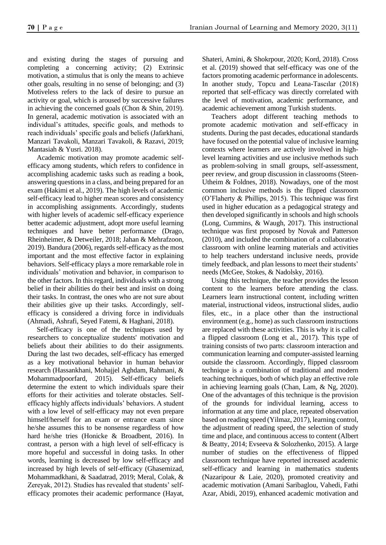and existing during the stages of pursuing and completing a concerning activity; (2) Extrinsic motivation, a stimulus that is only the means to achieve other goals, resulting in no sense of belonging; and (3) Motiveless refers to the lack of desire to pursue an activity or goal, which is aroused by successive failures in achieving the concerned goals (Chon & Shin, 2019). In general, academic motivation is associated with an individual's attitudes, specific goals, and methods to reach individuals' specific goals and beliefs (Jafarkhani, Manzari Tavakoli, Manzari Tavakoli, & Razavi, 2019; Mantasiah & Yusri. 2018).

Academic motivation may promote academic selfefficacy among students, which refers to confidence in accomplishing academic tasks such as reading a book, answering questions in a class, and being prepared for an exam (Hakimi et al., 2019). The high levels of academic self-efficacy lead to higher mean scores and consistency in accomplishing assignments. Accordingly, students with higher levels of academic self-efficacy experience better academic adjustment, adopt more useful learning techniques and have better performance (Drago, Rheinheimer, & Detweiler, 2018; Jahan & Mehrafzoon, 2019). Bandura (2006), regards self-efficacy as the most important and the most effective factor in explaining behaviors. Self-efficacy plays a more remarkable role in individuals' motivation and behavior, in comparison to the other factors. In this regard, individuals with a strong belief in their abilities do their best and insist on doing their tasks. In contrast, the ones who are not sure about their abilities give up their tasks. Accordingly, selfefficacy is considered a driving force in individuals (Ahmadi, Ashrafi, Seyed Fatemi, & Haghani, 2018).

Self-efficacy is one of the techniques used by researchers to conceptualize students' motivation and beliefs about their abilities to do their assignments. During the last two decades, self-efficacy has emerged as a key motivational behavior in human behavior research (Hassankhani, Mohajjel Aghdam, Rahmani, & Mohammadpoorfard, 2015). Self-efficacy beliefs determine the extent to which individuals spare their efforts for their activities and tolerate obstacles. Selfefficacy highly affects individuals' behaviors. A student with a low level of self-efficacy may not even prepare himself/herself for an exam or entrance exam since he/she assumes this to be nonsense regardless of how hard he/she tries (Honicke & Broadbent, 2016). In contrast, a person with a high level of self-efficacy is more hopeful and successful in doing tasks. In other words, learning is decreased by low self-efficacy and increased by high levels of self-efficacy (Ghasemizad, Mohammadkhani, & Saadatrad, 2019; Meral, Colak, & Zereyak, 2012). Studies has revealed that students' selfefficacy promotes their academic performance (Hayat, Shateri, Amini, & Shokrpour, 2020; Kord, 2018). Cross et al. (2019) showed that self-efficacy was one of the factors promoting academic performance in adolescents. In another study, Topcu and Leana-Tascılar (2018) reported that self-efficacy was directly correlated with the level of motivation, academic performance, and academic achievement among Turkish students.

Teachers adopt different teaching methods to promote academic motivation and self-efficacy in students. During the past decades, educational standards have focused on the potential value of inclusive learning contexts where learners are actively involved in highlevel learning activities and use inclusive methods such as problem-solving in small groups, self-assessment, peer review, and group discussion in classrooms (Steen-Utheim & Foldnes, 2018). Nowadays, one of the most common inclusive methods is the flipped classroom (O'Flaherty & Phillips, 2015). This technique was first used in higher education as a pedagogical strategy and then developed significantly in schools and high schools (Long, Cummins, & Waugh, 2017). This instructional technique was first proposed by Novak and Patterson (2010), and included the combination of a collaborative classroom with online learning materials and activities to help teachers understand inclusive needs, provide timely feedback, and plan lessons to meet their students' needs (McGee, Stokes, & Nadolsky, 2016).

Using this technique, the teacher provides the lesson content to the learners before attending the class. Learners learn instructional content, including written material, instructional videos, instructional slides, audio files, etc., in a place other than the instructional environment (e.g., home) as such classroom instructions are replaced with these activities. This is why it is called a flipped classroom (Long et al., 2017). This type of training consists of two parts: classroom interaction and communication learning and computer-assisted learning outside the classroom. Accordingly, flipped classroom technique is a combination of traditional and modern teaching techniques, both of which play an effective role in achieving learning goals (Chan, Lam, & Ng, 2020). One of the advantages of this technique is the provision of the grounds for individual learning, access to information at any time and place, repeated observation based on reading speed (Yilmaz, 2017), learning control, the adjustment of reading speed, the selection of study time and place, and continuous access to content (Albert & Beatty, 2014; Evseeva & Solozhenko, 2015). A large number of studies on the effectiveness of flipped classroom technique have reported increased academic self-efficacy and learning in mathematics students (Nazaripour & Laie, 2020), promoted creativity and academic motivation (Amani Saribaglou, Vahedi, Fathi Azar, Abidi, 2019), enhanced academic motivation and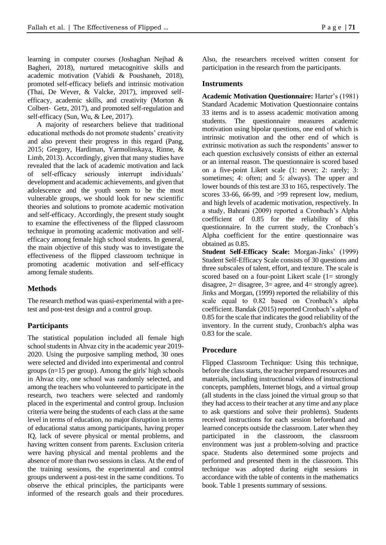learning in computer courses (Joshaghan Nejhad & Bagheri, 2018), nurtured metacognitive skills and academic motivation (Vahidi & Poushaneh, 2018), promoted self-efficacy beliefs and intrinsic motivation (Thai, De Wever, & Valcke, 2017), improved selfefficacy, academic skills, and creativity (Morton & Colbert‐ Getz, 2017), and promoted self-regulation and self-efficacy (Sun, Wu, & Lee, 2017).

A majority of researchers believe that traditional educational methods do not promote students' creativity and also prevent their progress in this regard (Pang, 2015; Gregory, Hardiman, Yarmolinskaya, Rinne, & Limb, 2013). Accordingly, given that many studies have revealed that the lack of academic motivation and lack of self-efficacy seriously interrupt individuals' development and academic achievements, and given that adolescence and the youth seem to be the most vulnerable groups, we should look for new scientific theories and solutions to promote academic motivation and self-efficacy. Accordingly, the present study sought to examine the effectiveness of the flipped classroom technique in promoting academic motivation and selfefficacy among female high school students. In general, the main objective of this study was to investigate the effectiveness of the flipped classroom technique in promoting academic motivation and self-efficacy among female students.

## **Methods**

The research method was quasi-experimental with a pretest and post-test design and a control group.

## **Participants**

The statistical population included all female high school students in Ahvaz city in the academic year 2019- 2020. Using the purposive sampling method, 30 ones were selected and divided into experimental and control groups (n=15 per group). Among the girls' high schools in Ahvaz city, one school was randomly selected, and among the teachers who volunteered to participate in the research, two teachers were selected and randomly placed in the experimental and control group. Inclusion criteria were being the students of each class at the same level in terms of education, no major disruption in terms of educational status among participants, having proper IQ, lack of severe physical or mental problems, and having written consent from parents. Exclusion criteria were having physical and mental problems and the absence of more than two sessions in class. At the end of the training sessions, the experimental and control groups underwent a post-test in the same conditions. To observe the ethical principles, the participants were informed of the research goals and their procedures.

Also, the researchers received written consent for participation in the research from the participants.

## **Instruments**

**Academic Motivation Questionnaire:** Harter's (1981) Standard Academic Motivation Questionnaire contains 33 items and is to assess academic motivation among students. The questionnaire measures academic motivation using bipolar questions, one end of which is intrinsic motivation and the other end of which is extrinsic motivation as such the respondents' answer to each question exclusively consists of either an external or an internal reason. The questionnaire is scored based on a five-point Likert scale (1: never; 2: rarely; 3: sometimes; 4: often; and 5: always). The upper and lower bounds of this test are 33 to 165, respectively. The scores 33-66, 66-99, and >99 represent low, medium, and high levels of academic motivation, respectively. In a study, Bahrani (2009) reported a Cronbach's Alpha coefficient of 0.85 for the reliability of this questionnaire. In the current study, the Cronbach's Alpha coefficient for the entire questionnaire was obtained as 0.85.

**Student Self-Efficacy Scale:** Morgan-Jinks' (1999) Student Self-Efficacy Scale consists of 30 questions and three subscales of talent, effort, and texture. The scale is scored based on a four-point Likert scale (1= strongly disagree,  $2=$  disagree,  $3=$  agree, and  $4=$  strongly agree). Jinks and Morgan, (1999) reported the reliability of this scale equal to 0.82 based on Cronbach's alpha coefficient. Bandak (2015) reported Cronbach's alpha of 0.85 for the scale that indicates the good reliability of the inventory. In the current study, Cronbach's alpha was 0.83 for the scale.

## **Procedure**

Flipped Classroom Technique: Using this technique, before the class starts, the teacher prepared resources and materials, including instructional videos of instructional concepts, pamphlets, Internet blogs, and a virtual group (all students in the class joined the virtual group so that they had access to their teacher at any time and any place to ask questions and solve their problems). Students received instructions for each session beforehand and learned concepts outside the classroom. Later when they participated in the classroom, the classroom environment was just a problem-solving and practice space. Students also determined some projects and performed and presented them in the classroom. This technique was adopted during eight sessions in accordance with the table of contents in the mathematics book. Table 1 presents summary of sessions.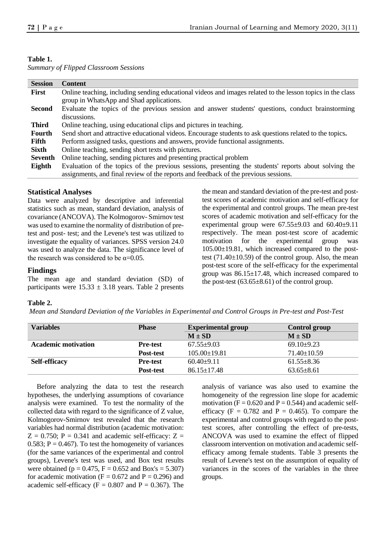#### **Table 1.**

|  | <b>Summary of Flipped Classroom Sessions</b> |  |  |
|--|----------------------------------------------|--|--|
|--|----------------------------------------------|--|--|

| <b>Session</b> | <b>Content</b>                                                                                             |
|----------------|------------------------------------------------------------------------------------------------------------|
| First          | Online teaching, including sending educational videos and images related to the lesson topics in the class |
|                | group in WhatsApp and Shad applications.                                                                   |
| <b>Second</b>  | Evaluate the topics of the previous session and answer students' questions, conduct brainstorming          |
|                | discussions.                                                                                               |
| <b>Third</b>   | Online teaching, using educational clips and pictures in teaching.                                         |
| Fourth         | Send short and attractive educational videos. Encourage students to ask questions related to the topics.   |
| Fifth          | Perform assigned tasks, questions and answers, provide functional assignments.                             |
| <b>Sixth</b>   | Online teaching, sending short texts with pictures.                                                        |
| <b>Seventh</b> | Online teaching, sending pictures and presenting practical problem                                         |
| Eighth         | Evaluation of the topics of the previous sessions, presenting the students' reports about solving the      |
|                | assignments, and final review of the reports and feedback of the previous sessions.                        |

#### **Statistical Analyses**

Data were analyzed by descriptive and inferential statistics such as mean, standard deviation, analysis of covariance (ANCOVA). The Kolmogorov- Smirnov test was used to examine the normality of distribution of pretest and post- test; and the Levene's test was utilized to investigate the equality of variances. SPSS version 24.0 was used to analyze the data. The significance level of the research was considered to be  $\alpha$ =0.05.

#### **Findings**

The mean age and standard deviation (SD) of participants were  $15.33 \pm 3.18$  years. Table 2 presents the mean and standard deviation of the pre-test and posttest scores of academic motivation and self-efficacy for the experimental and control groups. The mean pre-test scores of academic motivation and self-efficacy for the experimental group were  $67.55\pm9.03$  and  $60.40\pm9.11$ respectively. The mean post-test score of academic motivation for the experimental group was 105.00±19.81, which increased compared to the posttest  $(71.40\pm10.59)$  of the control group. Also, the mean post-test score of the self-efficacy for the experimental group was 86.15±17.48, which increased compared to the post-test  $(63.65\pm8.61)$  of the control group.

#### **Table 2.**

*Mean and Standard Deviation of the Variables in Experimental and Control Groups in Pre-test and Post-Test*

| <b>Variables</b>           | <b>Phase</b>    | <b>Experimental group</b> | Control group     |
|----------------------------|-----------------|---------------------------|-------------------|
|                            |                 | $M \pm SD$                | $M \pm SD$        |
| <b>Academic motivation</b> | <b>Pre-test</b> | $67.55 \pm 9.03$          | $69.10+9.23$      |
|                            | Post-test       | $105.00 \pm 19.81$        | $71.40 \pm 10.59$ |
| <b>Self-efficacy</b>       | <b>Pre-test</b> | $60.40\pm9.11$            | $61.55 \pm 8.36$  |
|                            | Post-test       | $86.15 \pm 17.48$         | $63.65 \pm 8.61$  |

Before analyzing the data to test the research hypotheses, the underlying assumptions of covariance analysis were examined. To test the normality of the collected data with regard to the significance of Z value, Kolmogorov-Smirnov test revealed that the research variables had normal distribution (academic motivation:  $Z = 0.750$ ;  $P = 0.341$  and academic self-efficacy:  $Z =$ 0.583;  $P = 0.467$ ). To test the homogeneity of variances (for the same variances of the experimental and control groups), Levene's test was used, and Box test results were obtained ( $p = 0.475$ ,  $F = 0.652$  and Box's = 5.307) for academic motivation ( $F = 0.672$  and  $P = 0.296$ ) and academic self-efficacy ( $F = 0.807$  and  $P = 0.367$ ). The

analysis of variance was also used to examine the homogeneity of the regression line slope for academic motivation ( $F = 0.620$  and  $P = 0.544$ ) and academic selfefficacy ( $F = 0.782$  and  $P = 0.465$ ). To compare the experimental and control groups with regard to the posttest scores, after controlling the effect of pre-tests, ANCOVA was used to examine the effect of flipped classroom intervention on motivation and academic selfefficacy among female students. Table 3 presents the result of Levene's test on the assumption of equality of variances in the scores of the variables in the three groups.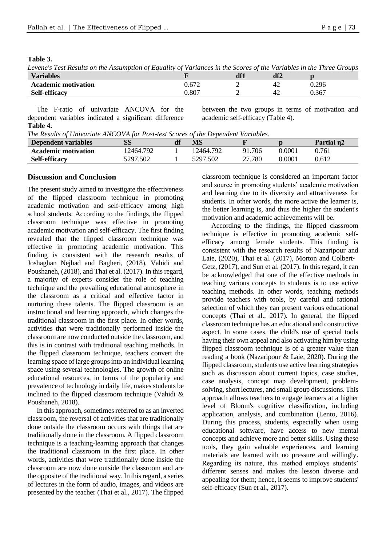#### **Table 3.**

*Levene's Test Results on the Assumption of Equality of Variances in the Scores of the Variables in the Three Groups*

| <b>Variables</b>           |                   | 101<br>uıı | df2  |       |  |
|----------------------------|-------------------|------------|------|-------|--|
| <b>Academic motivation</b> | $\sim$<br>J.∪ / ∠ |            |      | 0.296 |  |
| <b>Self-efficacy</b>       | .807              |            | $+2$ | 0.367 |  |

The F-ratio of univariate ANCOVA for the dependent variables indicated a significant difference **Table 4.**

between the two groups in terms of motivation and academic self-efficacy (Table 4).

*The Results of Univariate ANCOVA for Post-test Scores of the Dependent Variables.*

| <b>Dependent variables</b> | SS        | MS        |        |        | Partial n2 |
|----------------------------|-----------|-----------|--------|--------|------------|
| <b>Academic motivation</b> | 12464.792 | 12464.792 | 91.706 | 0.0001 | 0.761      |
| <b>Self-efficacy</b>       | 5297.502  | 5297.502  | 27.780 | 0.0001 | 0.612      |

#### **Discussion and Conclusion**

The present study aimed to investigate the effectiveness of the flipped classroom technique in promoting academic motivation and self-efficacy among high school students. According to the findings, the flipped classroom technique was effective in promoting academic motivation and self-efficacy. The first finding revealed that the flipped classroom technique was effective in promoting academic motivation. This finding is consistent with the research results of Joshaghan Nejhad and Bagheri, (2018), Vahidi and Poushaneh, (2018), and Thai et al. (2017). In this regard, a majority of experts consider the role of teaching technique and the prevailing educational atmosphere in the classroom as a critical and effective factor in nurturing these talents. The flipped classroom is an instructional and learning approach, which changes the traditional classroom in the first place. In other words, activities that were traditionally performed inside the classroom are now conducted outside the classroom, and this is in contrast with traditional teaching methods. In the flipped classroom technique, teachers convert the learning space of large groups into an individual learning space using several technologies. The growth of online educational resources, in terms of the popularity and prevalence of technology in daily life, makes students be inclined to the flipped classroom technique (Vahidi & Poushaneh, 2018).

In this approach, sometimes referred to as an inverted classroom, the reversal of activities that are traditionally done outside the classroom occurs with things that are traditionally done in the classroom. A flipped classroom technique is a teaching-learning approach that changes the traditional classroom in the first place. In other words, activities that were traditionally done inside the classroom are now done outside the classroom and are the opposite of the traditional way. In this regard, a series of lectures in the form of audio, images, and videos are presented by the teacher (Thai et al., 2017). The flipped classroom technique is considered an important factor and source in promoting students' academic motivation and learning due to its diversity and attractiveness for students. In other words, the more active the learner is, the better learning is, and thus the higher the student's motivation and academic achievements will be.

According to the findings, the flipped classroom technique is effective in promoting academic selfefficacy among female students. This finding is consistent with the research results of Nazaripour and Laie, (2020), Thai et al. (2017), Morton and Colbert‐ Getz, (2017), and Sun et al. (2017). In this regard, it can be acknowledged that one of the effective methods in teaching various concepts to students is to use active teaching methods. In other words, teaching methods provide teachers with tools, by careful and rational selection of which they can present various educational concepts (Thai et al., 2017). In general, the flipped classroom technique has an educational and constructive aspect. In some cases, the child's use of special tools having their own appeal and also activating him by using flipped classroom technique is of a greater value than reading a book (Nazaripour & Laie, 2020). During the flipped classroom, students use active learning strategies such as discussion about current topics, case studies, case analysis, concept map development, problemsolving, short lectures, and small group discussions. This approach allows teachers to engage learners at a higher level of Bloom's cognitive classification, including application, analysis, and combination (Lento, 2016). During this process, students, especially when using educational software, have access to new mental concepts and achieve more and better skills. Using these tools, they gain valuable experiences, and learning materials are learned with no pressure and willingly. Regarding its nature, this method employs students' different senses and makes the lesson diverse and appealing for them; hence, it seems to improve students' self-efficacy (Sun et al., 2017).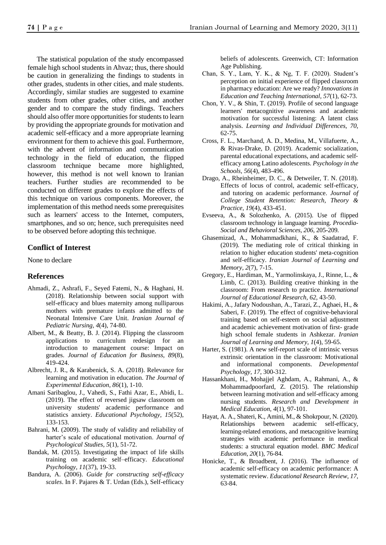The statistical population of the study encompassed female high school students in Ahvaz; thus, there should be caution in generalizing the findings to students in other grades, students in other cities, and male students. Accordingly, similar studies are suggested to examine students from other grades, other cities, and another gender and to compare the study findings. Teachers should also offer more opportunities for students to learn by providing the appropriate grounds for motivation and academic self-efficacy and a more appropriate learning environment for them to achieve this goal. Furthermore, with the advent of information and communication technology in the field of education, the flipped classroom technique became more highlighted, however, this method is not well known to Iranian teachers. Further studies are recommended to be conducted on different grades to explore the effects of this technique on various components. Moreover, the implementation of this method needs some prerequisites such as learners' access to the Internet, computers, smartphones, and so on; hence, such prerequisites need to be observed before adopting this technique.

## **Conflict of Interest**

None to declare

### **References**

- Ahmadi, Z., Ashrafi, F., Seyed Fatemi, N., & Haghani, H. (2018). Relationship between social support with self-efficacy and blues maternity among nulliparous mothers with premature infants admitted to the Neonatal Intensive Care Unit. *Iranian Journal of Pediatric Nursing, 4*(4), 74-80.
- Albert, M., & Beatty, B. J. (2014). Flipping the classroom applications to curriculum redesign for an introduction to management course: Impact on grades. *Journal of Education for Business, 89*(8), 419-424.
- Albrecht, J. R., & Karabenick, S. A. (2018). Relevance for learning and motivation in education. *The Journal of Experimental Education, 86*(1), 1-10.
- Amani Saribaglou, J., Vahedi, S., Fathi Azar, E., Abidi, L. (2019). The effect of reversed jigsaw classroom on university students' academic performance and statistics anxiety. *Educational Psychology, 15*(52), 133-153.
- Bahrani, M. (2009). The study of validity and reliability of harter's scale of educational motivation. *Journal of Psychological Studies, 5*(1), 51-72.
- Bandak, M. (2015). Investigating the impact of life skills training on academic self–efficacy. *Educational Psychology, 11*(37), 19-33.
- Bandura, A. (2006). *Guide for constructing self-efficacy scales*. In F. Pajares & T. Urdan (Eds.), Self-efficacy

beliefs of adolescents. Greenwich, CT: Information Age Publishing.

- Chan, S. Y., Lam, Y. K., & Ng, T. F. (2020). Student's perception on initial experience of flipped classroom in pharmacy education: Are we ready? *Innovations in Education and Teaching International, 57*(1), 62-73.
- Chon, Y. V., & Shin, T. (2019). Profile of second language learners' metacognitive awareness and academic motivation for successful listening: A latent class analysis. *Learning and Individual Differences, 70*, 62-75.
- Cross, F. L., Marchand, A. D., Medina, M., Villafuerte, A., & Rivas‐Drake, D. (2019). Academic socialization, parental educational expectations, and academic self‐ efficacy among Latino adolescents. *Psychology in the Schools, 56*(4), 483-496.
- Drago, A., Rheinheimer, D. C., & Detweiler, T. N. (2018). Effects of locus of control, academic self-efficacy, and tutoring on academic performance. *Journal of College Student Retention: Research, Theory & Practice, 19*(4), 433-451.
- Evseeva, A., & Solozhenko, A. (2015). Use of flipped classroom technology in language learning. *Procedia-Social and Behavioral Sciences, 206*, 205-209.
- Ghasemizad, A., Mohammadkhani, K., & Saadatrad, F. (2019). The mediating role of critical thinking in relation to higher education students' meta-cognition and self-efficacy. *Iranian Journal of Learning and Memory, 2*(7), 7-15.
- Gregory, E., Hardiman, M., Yarmolinskaya, J., Rinne, L., & Limb, C. (2013). Building creative thinking in the classroom: From research to practice. *International Journal of Educational Research, 62,* 43-50.
- Hakimi, A., Jafary Nodoushan, A., Tarazi, Z., Aghaei, H., & Saberi, F. (2019). The effect of cognitive-behavioral training based on self-esteem on social adjustment and academic achievement motivation of first- grade high school female students in Ashkezar. *Iranian Journal of Learning and Memory, 1*(4), 59-65.
- Harter, S. (1981). A new self-report scale of intrinsic versus extrinsic orientation in the classroom: Motivational and informational components. *Developmental Psychology, 17*, 300-312.
- Hassankhani, H., Mohajjel Aghdam, A., Rahmani, A., & Mohammadpoorfard, Z. (2015). The relationship between learning motivation and self-efficacy among nursing students. *Research and Development in Medical Education, 4*(1), 97-101.
- Hayat, A. A., Shateri, K., Amini, M., & Shokrpour, N. (2020). Relationships between academic self-efficacy, learning-related emotions, and metacognitive learning strategies with academic performance in medical students: a structural equation model. *BMC Medical Education, 20*(1), 76-84.
- Honicke, T., & Broadbent, J. (2016). The influence of academic self-efficacy on academic performance: A systematic review. *Educational Research Review, 17*, 63-84.